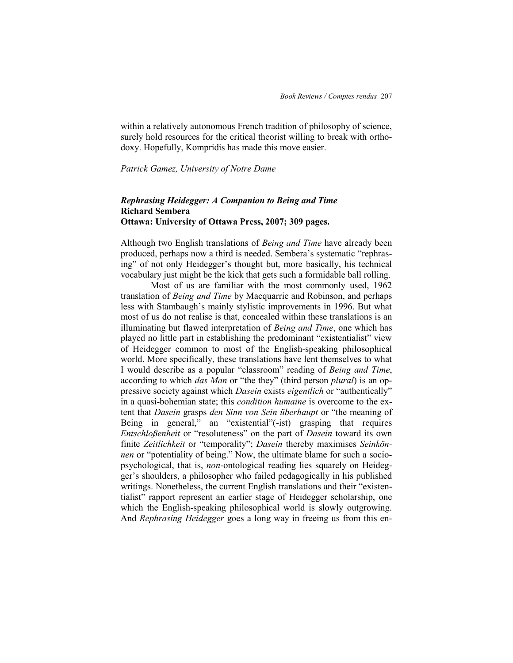within a relatively autonomous French tradition of philosophy of science, surely hold resources for the critical theorist willing to break with orthodoxy. Hopefully, Kompridis has made this move easier.

## *Patrick Gamez, University of Notre Dame*

## *Rephrasing Heidegger: A Companion to Being and Time* **Richard Sembera Ottawa: University of Ottawa Press, 2007; 309 pages.**

Although two English translations of *Being and Time* have already been produced, perhaps now a third is needed. Sembera's systematic "rephrasing" of not only Heidegger's thought but, more basically, his technical vocabulary just might be the kick that gets such a formidable ball rolling.

Most of us are familiar with the most commonly used, 1962 translation of *Being and Time* by Macquarrie and Robinson, and perhaps less with Stambaugh's mainly stylistic improvements in 1996. But what most of us do not realise is that, concealed within these translations is an illuminating but flawed interpretation of *Being and Time*, one which has played no little part in establishing the predominant "existentialist" view of Heidegger common to most of the English-speaking philosophical world. More specifically, these translations have lent themselves to what I would describe as a popular "classroom" reading of *Being and Time*, according to which *das Man* or "the they" (third person *plural*) is an oppressive society against which *Dasein* exists *eigentlich* or "authentically" in a quasi-bohemian state; this *condition humaine* is overcome to the extent that *Dasein* grasps *den Sinn von Sein überhaupt* or "the meaning of Being in general," an "existential"(-ist) grasping that requires *Entschloßenheit* or "resoluteness" on the part of *Dasein* toward its own finite Zeitlichkeit or "temporality"; Dasein thereby maximises Seinkön*nen* or "potentiality of being." Now, the ultimate blame for such a sociopsychological, that is, *non*-ontological reading lies squarely on Heidegger's shoulders, a philosopher who failed pedagogically in his published writings. Nonetheless, the current English translations and their "existentialist" rapport represent an earlier stage of Heidegger scholarship, one which the English-speaking philosophical world is slowly outgrowing. And *Rephrasing Heidegger* goes a long way in freeing us from this en-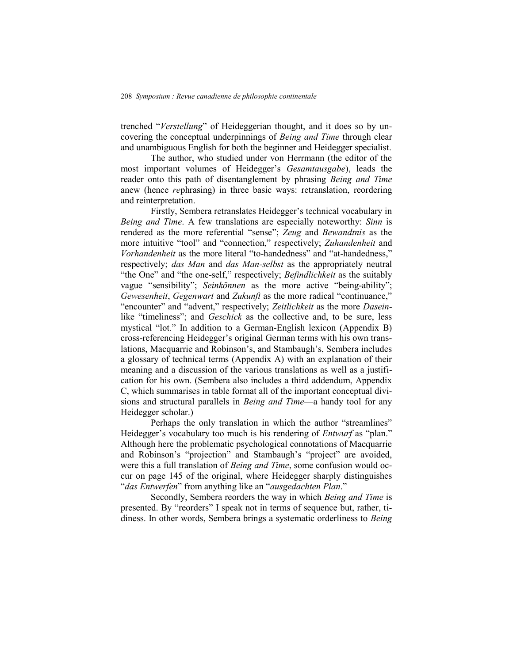trenched "Verstellung" of Heideggerian thought, and it does so by uncovering the conceptual underpinnings of *Being and Time* through clear and unambiguous English for both the beginner and Heidegger specialist.

The author, who studied under von Herrmann (the editor of the most important volumes of Heidegger's *Gesamtausgabe*), leads the reader onto this path of disentanglement by phrasing *Being and Time* anew (hence *re*phrasing) in three basic ways: retranslation, reordering and reinterpretation.

Firstly, Sembera retranslates Heidegger's technical vocabulary in *Being and Time*. A few translations are especially noteworthy: *Sinn* is rendered as the more referential "sense"; *Zeug* and *Bewandtnis* as the more intuitive "tool" and "connection," respectively; *Zuhandenheit* and *Vorhandenheit* as the more literal "to-handedness" and "at-handedness," respectively; *das Man* and *das Man-selbst* as the appropriately neutral "the One" and "the one-self," respectively; *Befindlichkeit* as the suitably vague "sensibility"; *Seinkönnen* as the more active "being-ability"; *Gewesenheit, Gegenwart* and *Zukunft* as the more radical "continuance," "encounter" and "advent," respectively; *Zeitlichkeit* as the more *Dasein*like "timeliness"; and *Geschick* as the collective and, to be sure, less mystical "lot." In addition to a German-English lexicon (Appendix B) cross-referencing Heidegger's original German terms with his own translations, Macquarrie and Robinson's, and Stambaugh's, Sembera includes a glossary of technical terms (Appendix A) with an explanation of their meaning and a discussion of the various translations as well as a justification for his own. (Sembera also includes a third addendum, Appendix C, which summarises in table format all of the important conceptual divisions and structural parallels in *Being and Time*—a handy tool for any Heidegger scholar.)

Perhaps the only translation in which the author "streamlines" Heidegger's vocabulary too much is his rendering of *Entwurf* as "plan." Although here the problematic psychological connotations of Macquarrie and Robinson's "projection" and Stambaugh's "project" are avoided, were this a full translation of *Being and Time*, some confusion would occur on page 145 of the original, where Heidegger sharply distinguishes "das Entwerfen" from anything like an "ausgedachten Plan."

Secondly, Sembera reorders the way in which *Being and Time* is presented. By "reorders" I speak not in terms of sequence but, rather, tidiness. In other words, Sembera brings a systematic orderliness to *Being*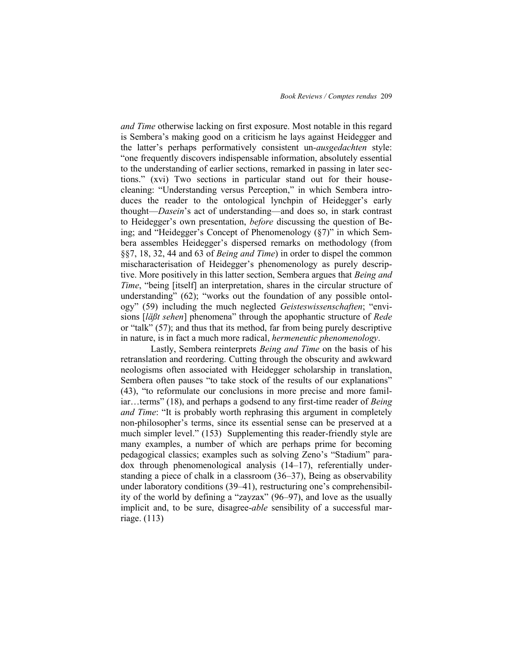*and Time* otherwise lacking on first exposure. Most notable in this regard is Sembera's making good on a criticism he lays against Heidegger and the latter's perhaps performatively consistent un*-ausgedachten* style: "one frequently discovers indispensable information, absolutely essential to the understanding of earlier sections, remarked in passing in later sections.‖ (xvi) Two sections in particular stand out for their housecleaning: "Understanding versus Perception," in which Sembera introduces the reader to the ontological lynchpin of Heidegger's early thought—*Dasein*'s act of understanding—and does so, in stark contrast to Heidegger's own presentation, *before* discussing the question of Being; and "Heidegger's Concept of Phenomenology  $(\S7)$ " in which Sembera assembles Heidegger's dispersed remarks on methodology (from §§7, 18, 32, 44 and 63 of *Being and Time*) in order to dispel the common mischaracterisation of Heidegger's phenomenology as purely descriptive. More positively in this latter section, Sembera argues that *Being and Time*, "being [itself] an interpretation, shares in the circular structure of understanding"  $(62)$ ; "works out the foundation of any possible ontology" (59) including the much neglected *Geisteswissenschaften*; "envisions [*läßt sehen*] phenomena" through the apophantic structure of *Rede* or "talk" (57); and thus that its method, far from being purely descriptive in nature, is in fact a much more radical, *hermeneutic phenomenology*.

Lastly, Sembera reinterprets *Being and Time* on the basis of his retranslation and reordering. Cutting through the obscurity and awkward neologisms often associated with Heidegger scholarship in translation, Sembera often pauses "to take stock of the results of our explanations" (43), "to reformulate our conclusions in more precise and more familiar…terms" (18), and perhaps a godsend to any first-time reader of *Being and Time*: "It is probably worth rephrasing this argument in completely non-philosopher's terms, since its essential sense can be preserved at a much simpler level." (153) Supplementing this reader-friendly style are many examples, a number of which are perhaps prime for becoming pedagogical classics; examples such as solving Zeno's "Stadium" paradox through phenomenological analysis (14–17), referentially understanding a piece of chalk in a classroom (36–37), Being as observability under laboratory conditions (39–41), restructuring one's comprehensibility of the world by defining a "zayzax"  $(96-97)$ , and love as the usually implicit and, to be sure, disagree-*able* sensibility of a successful marriage. (113)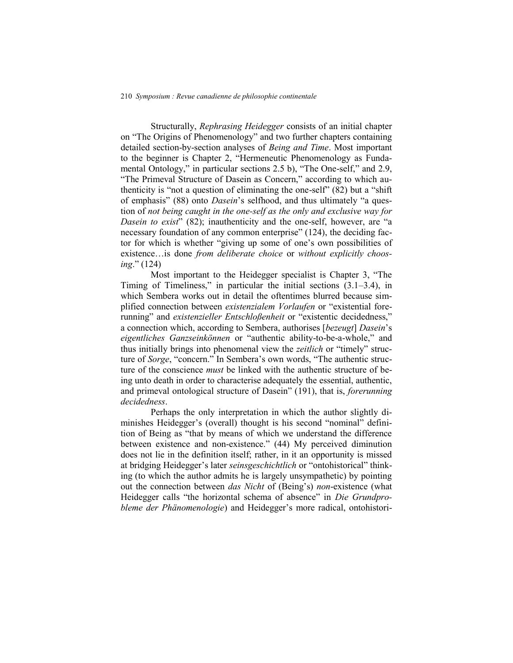Structurally, *Rephrasing Heidegger* consists of an initial chapter on "The Origins of Phenomenology" and two further chapters containing detailed section-by-section analyses of *Being and Time*. Most important to the beginner is Chapter 2, "Hermeneutic Phenomenology as Fundamental Ontology," in particular sections  $2.5$  b), "The One-self," and  $2.9$ , "The Primeval Structure of Dasein as Concern," according to which authenticity is "not a question of eliminating the one-self"  $(82)$  but a "shift" of emphasis" (88) onto *Dasein's* selfhood, and thus ultimately "a question of *not being caught in the one-self as the only and exclusive way for Dasein to exist*" (82); inauthenticity and the one-self, however, are "a necessary foundation of any common enterprise" (124), the deciding factor for which is whether "giving up some of one's own possibilities of existence…is done *from deliberate choice* or *without explicitly choosing.*" (124)

Most important to the Heidegger specialist is Chapter 3, "The Timing of Timeliness," in particular the initial sections  $(3.1-3.4)$ , in which Sembera works out in detail the oftentimes blurred because simplified connection between *existenzialem Vorlaufen* or "existential forerunning" and *existenzieller Entschloßenheit* or "existentic decidedness," a connection which, according to Sembera, authorises [*bezeugt*] *Dasein*'s eigentliches Ganzseinkönnen or "authentic ability-to-be-a-whole," and thus initially brings into phenomenal view the *zeitlich* or "timely" structure of *Sorge*, "concern." In Sembera's own words, "The authentic structure of the conscience *must* be linked with the authentic structure of being unto death in order to characterise adequately the essential, authentic, and primeval ontological structure of Dasein" (191), that is, *forerunning decidedness*.

Perhaps the only interpretation in which the author slightly diminishes Heidegger's (overall) thought is his second "nominal" definition of Being as "that by means of which we understand the difference between existence and non-existence." (44) My perceived diminution does not lie in the definition itself; rather, in it an opportunity is missed at bridging Heidegger's later *seinsgeschichtlich* or "ontohistorical" thinking (to which the author admits he is largely unsympathetic) by pointing out the connection between *das Nicht* of (Being's) *non*-existence (what Heidegger calls "the horizontal schema of absence" in *Die Grundprobleme der Phänomenologie*) and Heidegger's more radical, ontohistori